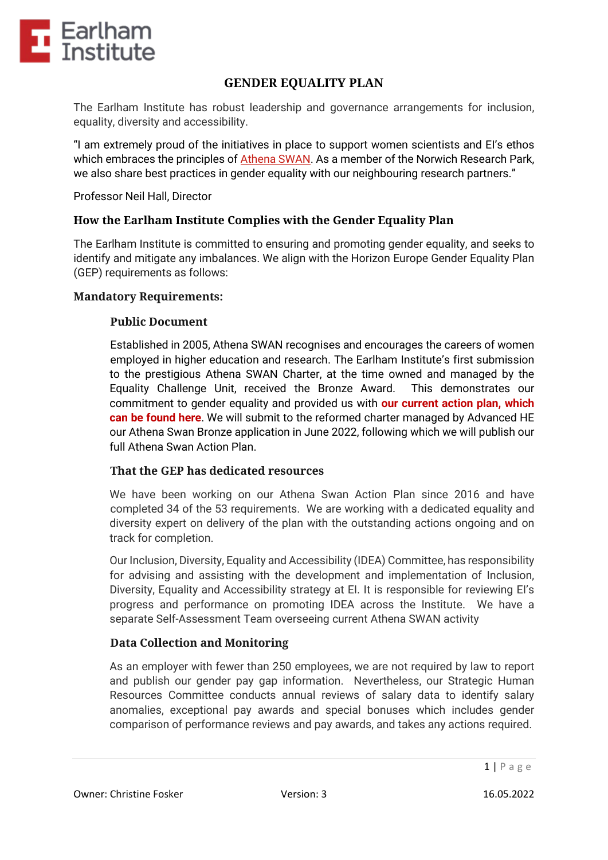

# **GENDER EQUALITY PLAN**

The Earlham Institute has robust leadership and governance arrangements for inclusion, equality, diversity and accessibility.

"I am extremely proud of the initiatives in place to support women scientists and EI's ethos which embraces the principles of [Athena](http://www.ecu.ac.uk/equality-charters/athena-swan/) SWAN. As a member of the Norwich Research Park, we also share best practices in gender equality with our neighbouring research partners."

Professor Neil Hall, Director

### **How the Earlham Institute Complies with the Gender Equality Plan**

The Earlham Institute is committed to ensuring and promoting gender equality, and seeks to identify and mitigate any imbalances. We align with the Horizon Europe Gender Equality Plan (GEP) requirements as follows:

#### **Mandatory Requirements:**

#### **Public Document**

Established in 2005, Athena SWAN recognises and encourages the careers of women employed in higher education and research. The Earlham Institute's first submission to the prestigious Athena SWAN Charter, at the time owned and managed by the Equality Challenge Unit, received the Bronze Award. This demonstrates our commitment to gender equality and provided us with **our current action plan, which can be found here**. We will submit to the reformed charter managed by Advanced HE our Athena Swan Bronze application in June 2022, following which we will publish our full Athena Swan Action Plan.

#### **That the GEP has dedicated resources**

We have been working on our Athena Swan Action Plan since 2016 and have completed 34 of the 53 requirements. We are working with a dedicated equality and diversity expert on delivery of the plan with the outstanding actions ongoing and on track for completion.

Our Inclusion, Diversity, Equality and Accessibility (IDEA) Committee, has responsibility for advising and assisting with the development and implementation of Inclusion, Diversity, Equality and Accessibility strategy at EI. It is responsible for reviewing EI's progress and performance on promoting IDEA across the Institute. We have a separate Self-Assessment Team overseeing current Athena SWAN activity

#### **Data Collection and Monitoring**

As an employer with fewer than 250 employees, we are not required by law to report and publish our gender pay gap information. Nevertheless, our Strategic Human Resources Committee conducts annual reviews of salary data to identify salary anomalies, exceptional pay awards and special bonuses which includes gender comparison of performance reviews and pay awards, and takes any actions required.